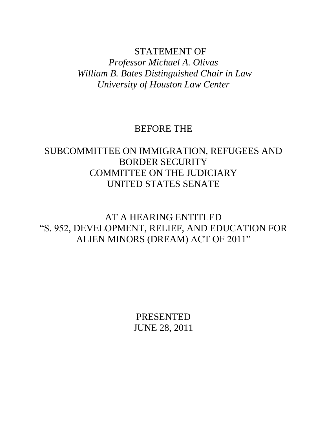## STATEMENT OF

*Professor Michael A. Olivas William B. Bates Distinguished Chair in Law University of Houston Law Center*

# BEFORE THE

# SUBCOMMITTEE ON IMMIGRATION, REFUGEES AND BORDER SECURITY COMMITTEE ON THE JUDICIARY UNITED STATES SENATE

AT A HEARING ENTITLED "S. 952, DEVELOPMENT, RELIEF, AND EDUCATION FOR ALIEN MINORS (DREAM) ACT OF 2011"

> PRESENTED JUNE 28, 2011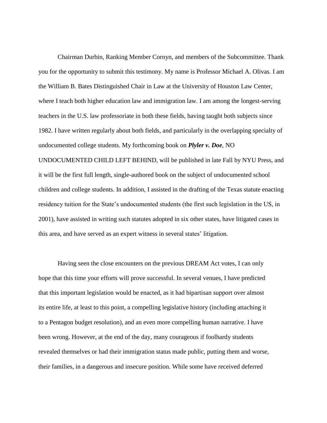Chairman Durbin, Ranking Member Cornyn, and members of the Subcommittee. Thank you for the opportunity to submit this testimony. My name is Professor Michael A. Olivas. I am the William B. Bates Distinguished Chair in Law at the University of Houston Law Center, where I teach both higher education law and immigration law. I am among the longest-serving teachers in the U.S. law professoriate in both these fields, having taught both subjects since 1982. I have written regularly about both fields, and particularly in the overlapping specialty of undocumented college students. My forthcoming book on *Plyler v. Doe*, NO UNDOCUMENTED CHILD LEFT BEHIND, will be published in late Fall by NYU Press, and it will be the first full length, single-authored book on the subject of undocumented school children and college students. In addition, I assisted in the drafting of the Texas statute enacting residency tuition for the State"s undocumented students (the first such legislation in the US, in 2001), have assisted in writing such statutes adopted in six other states, have litigated cases in this area, and have served as an expert witness in several states" litigation.

Having seen the close encounters on the previous DREAM Act votes, I can only hope that this time your efforts will prove successful. In several venues, I have predicted that this important legislation would be enacted, as it had bipartisan support over almost its entire life, at least to this point, a compelling legislative history (including attaching it to a Pentagon budget resolution), and an even more compelling human narrative. I have been wrong. However, at the end of the day, many courageous if foolhardy students revealed themselves or had their immigration status made public, putting them and worse, their families, in a dangerous and insecure position. While some have received deferred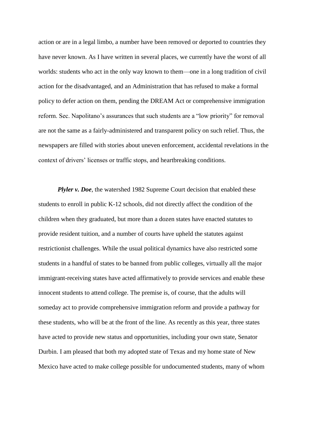action or are in a legal limbo, a number have been removed or deported to countries they have never known. As I have written in several places, we currently have the worst of all worlds: students who act in the only way known to them—one in a long tradition of civil action for the disadvantaged, and an Administration that has refused to make a formal policy to defer action on them, pending the DREAM Act or comprehensive immigration reform. Sec. Napolitano"s assurances that such students are a "low priority" for removal are not the same as a fairly-administered and transparent policy on such relief. Thus, the newspapers are filled with stories about uneven enforcement, accidental revelations in the context of drivers" licenses or traffic stops, and heartbreaking conditions.

*Plyler v. Doe*, the watershed 1982 Supreme Court decision that enabled these students to enroll in public K-12 schools, did not directly affect the condition of the children when they graduated, but more than a dozen states have enacted statutes to provide resident tuition, and a number of courts have upheld the statutes against restrictionist challenges. While the usual political dynamics have also restricted some students in a handful of states to be banned from public colleges, virtually all the major immigrant-receiving states have acted affirmatively to provide services and enable these innocent students to attend college. The premise is, of course, that the adults will someday act to provide comprehensive immigration reform and provide a pathway for these students, who will be at the front of the line. As recently as this year, three states have acted to provide new status and opportunities, including your own state, Senator Durbin. I am pleased that both my adopted state of Texas and my home state of New Mexico have acted to make college possible for undocumented students, many of whom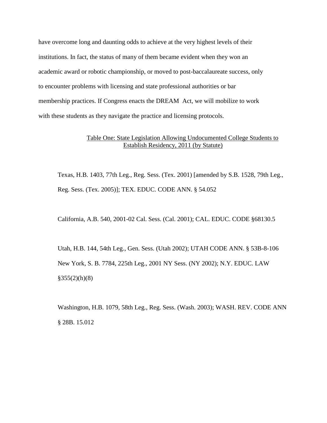have overcome long and daunting odds to achieve at the very highest levels of their institutions. In fact, the status of many of them became evident when they won an academic award or robotic championship, or moved to post-baccalaureate success, only to encounter problems with licensing and state professional authorities or bar membership practices. If Congress enacts the DREAM Act, we will mobilize to work with these students as they navigate the practice and licensing protocols.

### Table One: State Legislation Allowing Undocumented College Students to Establish Residency, 2011 (by Statute)

Texas, H.B. 1403, 77th Leg., Reg. Sess. (Tex. 2001) [amended by S.B. 1528, 79th Leg., Reg. Sess. (Tex. 2005)]; TEX. EDUC. CODE ANN. § 54.052

California, A.B. 540, 2001-02 Cal. Sess. (Cal. 2001); CAL. EDUC. CODE §68130.5

Utah, H.B. 144, 54th Leg., Gen. Sess. (Utah 2002); UTAH CODE ANN. § 53B-8-106 New York, S. B. 7784, 225th Leg., 2001 NY Sess. (NY 2002); N.Y. EDUC. LAW  $§355(2)(h)(8)$ 

Washington, H.B. 1079, 58th Leg., Reg. Sess. (Wash. 2003); WASH. REV. CODE ANN § 28B. 15.012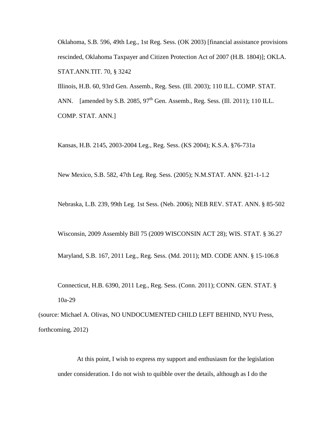Oklahoma, S.B. 596, 49th Leg., 1st Reg. Sess. (OK 2003) [financial assistance provisions rescinded, Oklahoma Taxpayer and Citizen Protection Act of 2007 (H.B. 1804)]; OKLA. STAT.ANN.TIT. 70, § 3242

Illinois, H.B. 60, 93rd Gen. Assemb., Reg. Sess. (Ill. 2003); 110 ILL. COMP. STAT.

ANN. [amended by S.B. 2085,  $97<sup>th</sup>$  Gen. Assemb., Reg. Sess. (Ill. 2011); 110 ILL. COMP. STAT. ANN.]

Kansas, H.B. 2145, 2003-2004 Leg., Reg. Sess. (KS 2004); K.S.A. §76-731a

New Mexico, S.B. 582, 47th Leg. Reg. Sess. (2005); N.M.STAT. ANN. §21-1-1.2

Nebraska, L.B. 239, 99th Leg. 1st Sess. (Neb. 2006); NEB REV. STAT. ANN. § 85-502

Wisconsin, 2009 Assembly Bill 75 (2009 WISCONSIN ACT 28); WIS. STAT. § 36.27

Maryland, S.B. 167, 2011 Leg., Reg. Sess. (Md. 2011); MD. CODE ANN. § 15-106.8

Connecticut, H.B. 6390, 2011 Leg., Reg. Sess. (Conn. 2011); CONN. GEN. STAT. § 10a-29

(source: Michael A. Olivas, NO UNDOCUMENTED CHILD LEFT BEHIND, NYU Press, forthcoming, 2012)

At this point, I wish to express my support and enthusiasm for the legislation under consideration. I do not wish to quibble over the details, although as I do the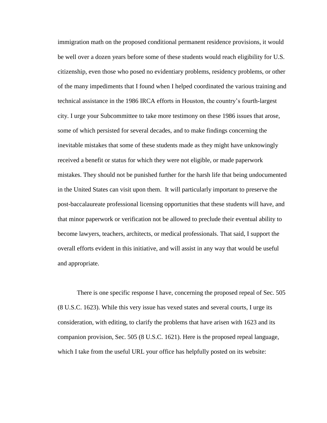immigration math on the proposed conditional permanent residence provisions, it would be well over a dozen years before some of these students would reach eligibility for U.S. citizenship, even those who posed no evidentiary problems, residency problems, or other of the many impediments that I found when I helped coordinated the various training and technical assistance in the 1986 IRCA efforts in Houston, the country"s fourth-largest city. I urge your Subcommittee to take more testimony on these 1986 issues that arose, some of which persisted for several decades, and to make findings concerning the inevitable mistakes that some of these students made as they might have unknowingly received a benefit or status for which they were not eligible, or made paperwork mistakes. They should not be punished further for the harsh life that being undocumented in the United States can visit upon them. It will particularly important to preserve the post-baccalaureate professional licensing opportunities that these students will have, and that minor paperwork or verification not be allowed to preclude their eventual ability to become lawyers, teachers, architects, or medical professionals. That said, I support the overall efforts evident in this initiative, and will assist in any way that would be useful and appropriate.

There is one specific response I have, concerning the proposed repeal of Sec. 505 (8 U.S.C. 1623). While this very issue has vexed states and several courts, I urge its consideration, with editing, to clarify the problems that have arisen with 1623 and its companion provision, Sec. 505 (8 U.S.C. 1621). Here is the proposed repeal language, which I take from the useful URL your office has helpfully posted on its website: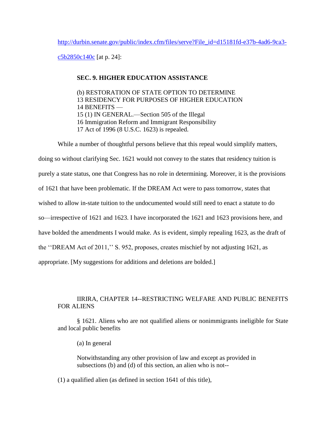[http://durbin.senate.gov/public/index.cfm/files/serve?File\\_id=d15181fd-e37b-4ad6-9ca3-](http://durbin.senate.gov/public/index.cfm/files/serve?File_id=d15181fd-e37b-4ad6-9ca3-c5b2850c140c)

[c5b2850c140c](http://durbin.senate.gov/public/index.cfm/files/serve?File_id=d15181fd-e37b-4ad6-9ca3-c5b2850c140c) [at p. 24]:

### **SEC. 9. HIGHER EDUCATION ASSISTANCE**

(b) RESTORATION OF STATE OPTION TO DETERMINE 13 RESIDENCY FOR PURPOSES OF HIGHER EDUCATION 14 BENEFITS — 15 (1) IN GENERAL.—Section 505 of the Illegal 16 Immigration Reform and Immigrant Responsibility 17 Act of 1996 (8 U.S.C. 1623) is repealed.

While a number of thoughtful persons believe that this repeal would simplify matters, doing so without clarifying Sec. 1621 would not convey to the states that residency tuition is purely a state status, one that Congress has no role in determining. Moreover, it is the provisions of 1621 that have been problematic. If the DREAM Act were to pass tomorrow, states that wished to allow in-state tuition to the undocumented would still need to enact a statute to do so—irrespective of 1621 and 1623. I have incorporated the 1621 and 1623 provisions here, and have bolded the amendments I would make. As is evident, simply repealing 1623, as the draft of the ""DREAM Act of 2011,"" S. 952, proposes, creates mischief by not adjusting 1621, as appropriate. [My suggestions for additions and deletions are bolded.]

## IIRIRA, CHAPTER 14--RESTRICTING WELFARE AND PUBLIC BENEFITS FOR ALIENS

§ 1621. Aliens who are not qualified aliens or nonimmigrants ineligible for State and local public benefits

(a) In general

 Notwithstanding any other provision of law and except as provided in subsections (b) and (d) of this section, an alien who is not--

(1) a qualified alien (as defined in section 1641 of this title),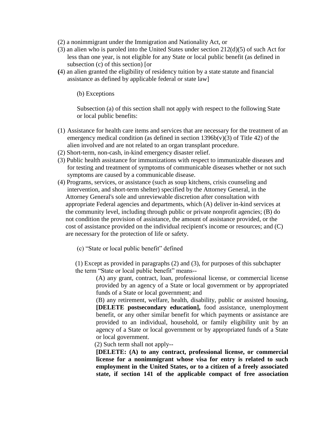- (2) a nonimmigrant under the Immigration and Nationality Act, or
- (3) an alien who is paroled into the United States under section 212(d)(5) of such Act for less than one year, is not eligible for any State or local public benefit (as defined in subsection (c) of this section) [or
- **(**4) an alien granted the eligibility of residency tuition by a state statute and financial assistance as defined by applicable federal or state law]

(b) Exceptions

 Subsection (a) of this section shall not apply with respect to the following State or local public benefits:

- (1) Assistance for health care items and services that are necessary for the treatment of an emergency medical condition (as defined in section  $1396b(v)(3)$  of Title 42) of the alien involved and are not related to an organ transplant procedure.
- (2) Short-term, non-cash, in-kind emergency disaster relief.
- (3) Public health assistance for immunizations with respect to immunizable diseases and for testing and treatment of symptoms of communicable diseases whether or not such symptoms are caused by a communicable disease.
- (4) Programs, services, or assistance (such as soup kitchens, crisis counseling and intervention, and short-term shelter) specified by the Attorney General, in the Attorney General's sole and unreviewable discretion after consultation with appropriate Federal agencies and departments, which (A) deliver in-kind services at the community level, including through public or private nonprofit agencies; (B) do not condition the provision of assistance, the amount of assistance provided, or the cost of assistance provided on the individual recipient's income or resources; and (C) are necessary for the protection of life or safety.
	- (c) "State or local public benefit" defined

 (1) Except as provided in paragraphs (2) and (3), for purposes of this subchapter the term "State or local public benefit" means--

(A) any grant, contract, loan, professional license, or commercial license provided by an agency of a State or local government or by appropriated funds of a State or local government; and

(B) any retirement, welfare, health, disability, public or assisted housing, **[DELETE postsecondary education],** food assistance, unemployment benefit, or any other similar benefit for which payments or assistance are provided to an individual, household, or family eligibility unit by an agency of a State or local government or by appropriated funds of a State or local government.

(2) Such term shall not apply--

**[DELETE: (A) to any contract, professional license, or commercial license for a nonimmigrant whose visa for entry is related to such employment in the United States, or to a citizen of a freely associated state, if section 141 of the applicable compact of free association**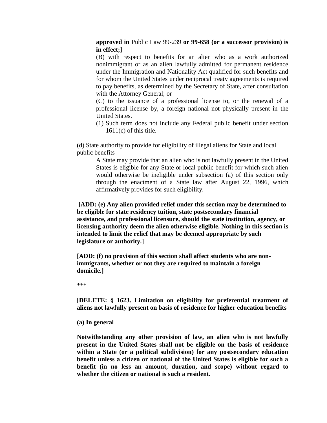**approved in** [Public Law 99-239](http://www.westlaw.com/Find/Default.wl?rs=dfa1.0&vr=2.0&DB=1077005&DocName=UU%28I2059DDF20A-95434A9590C-83A3CA1818C%29&FindType=l) **or 99-658 (or a successor provision) is in effect;]**

(B) with respect to benefits for an alien who as a work authorized nonimmigrant or as an alien lawfully admitted for permanent residence under the Immigration and Nationality Act qualified for such benefits and for whom the United States under reciprocal treaty agreements is required to pay benefits, as determined by the Secretary of State, after consultation with the Attorney General; or

(C) to the issuance of a professional license to, or the renewal of a professional license by, a foreign national not physically present in the United States.

(1) Such term does not include any Federal public benefit under section  $1611(c)$  of this title.

 (d) State authority to provide for eligibility of illegal aliens for State and local public benefits

A State may provide that an alien who is not lawfully present in the United States is eligible for any State or local public benefit for which such alien would otherwise be ineligible under subsection (a) of this section only through the enactment of a State law after August 22, 1996, which affirmatively provides for such eligibility.

**[ADD: (e) Any alien provided relief under this section may be determined to be eligible for state residency tuition, state postsecondary financial assistance, and professional licensure, should the state institution, agency, or licensing authority deem the alien otherwise eligible. Nothing in this section is intended to limit the relief that may be deemed appropriate by such legislature or authority.]**

**[ADD: (f) no provision of this section shall affect students who are nonimmigrants, whether or not they are required to maintain a foreign domicile.]**

\*\*\*

**[DELETE: § 1623. Limitation on eligibility for preferential treatment of aliens not lawfully present on basis of residence for higher education benefits**

**(a) In general**

**Notwithstanding any other provision of law, an alien who is not lawfully present in the United States shall not be eligible on the basis of residence within a State (or a political subdivision) for any postsecondary education benefit unless a citizen or national of the United States is eligible for such a benefit (in no less an amount, duration, and scope) without regard to whether the citizen or national is such a resident.**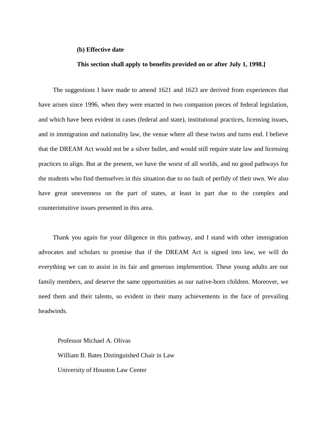#### **(b) Effective date**

#### **This section shall apply to benefits provided on or after July 1, 1998.]**

The suggestions I have made to amend 1621 and 1623 are derived from experiences that have arisen since 1996, when they were enacted in two companion pieces of federal legislation, and which have been evident in cases (federal and state), institutional practices, licensing issues, and in immigration and nationality law, the venue where all these twists and turns end. I believe that the DREAM Act would not be a silver bullet, and would still require state law and licensing practices to align. But at the present, we have the worst of all worlds, and no good pathways for the students who find themselves in this situation due to no fault of perfidy of their own. We also have great unevenness on the part of states, at least in part due to the complex and counterintuitive issues presented in this area.

Thank you again for your diligence in this pathway, and I stand with other immigration advocates and scholars to promise that if the DREAM Act is signed into law, we will do everything we can to assist in its fair and generous implemention. These young adults are our family members, and deserve the same opportunities as our native-born children. Moreover, we need them and their talents, so evident in their many achievements in the face of prevailing headwinds.

Professor Michael A. Olivas William B. Bates Distinguished Chair in Law University of Houston Law Center